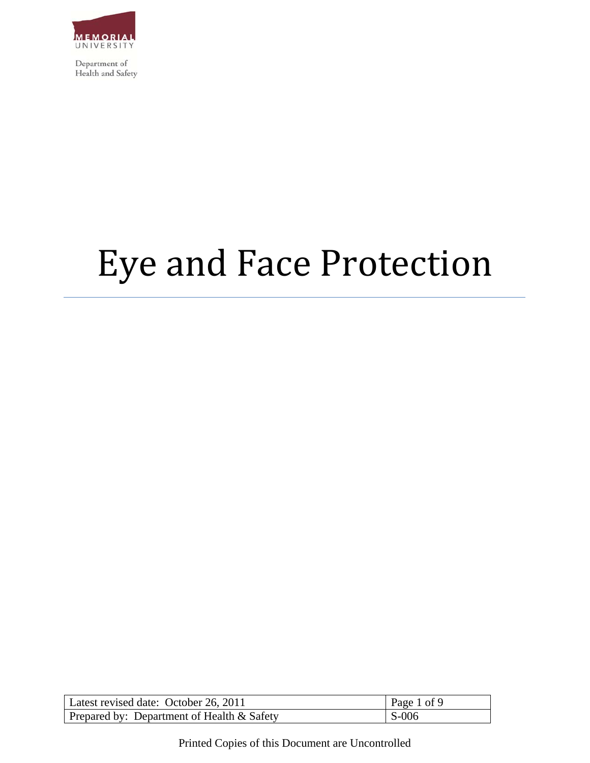

# Eye and Face Protection

| Latest revised date: October 26, 2011      | Page 1 of 9 |
|--------------------------------------------|-------------|
| Prepared by: Department of Health & Safety | $S-006$     |

Printed Copies of this Document are Uncontrolled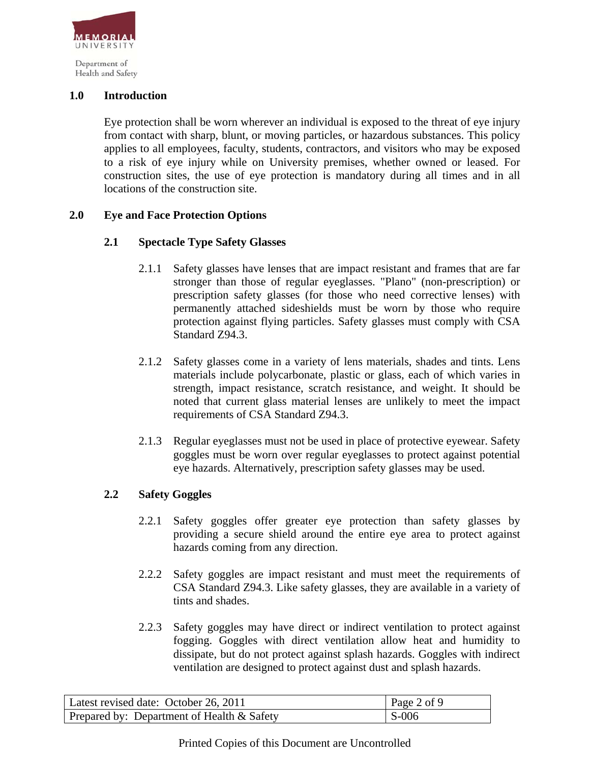

Health and Safety

## **1.0 Introduction**

Eye protection shall be worn wherever an individual is exposed to the threat of eye injury from contact with sharp, blunt, or moving particles, or hazardous substances. This policy applies to all employees, faculty, students, contractors, and visitors who may be exposed to a risk of eye injury while on University premises, whether owned or leased. For construction sites, the use of eye protection is mandatory during all times and in all locations of the construction site.

# **2.0 Eye and Face Protection Options**

# **2.1 Spectacle Type Safety Glasses**

- 2.1.1 Safety glasses have lenses that are impact resistant and frames that are far stronger than those of regular eyeglasses. "Plano" (non-prescription) or prescription safety glasses (for those who need corrective lenses) with permanently attached sideshields must be worn by those who require protection against flying particles. Safety glasses must comply with CSA Standard Z94.3.
- 2.1.2 Safety glasses come in a variety of lens materials, shades and tints. Lens materials include polycarbonate, plastic or glass, each of which varies in strength, impact resistance, scratch resistance, and weight. It should be noted that current glass material lenses are unlikely to meet the impact requirements of CSA Standard Z94.3.
- 2.1.3 Regular eyeglasses must not be used in place of protective eyewear. Safety goggles must be worn over regular eyeglasses to protect against potential eye hazards. Alternatively, prescription safety glasses may be used.

### **2.2 Safety Goggles**

- 2.2.1 Safety goggles offer greater eye protection than safety glasses by providing a secure shield around the entire eye area to protect against hazards coming from any direction.
- 2.2.2 Safety goggles are impact resistant and must meet the requirements of CSA Standard Z94.3. Like safety glasses, they are available in a variety of tints and shades.
- 2.2.3 Safety goggles may have direct or indirect ventilation to protect against fogging. Goggles with direct ventilation allow heat and humidity to dissipate, but do not protect against splash hazards. Goggles with indirect ventilation are designed to protect against dust and splash hazards.

| Latest revised date: October 26, 2011        | $\vert$ Page 2 of 9 |
|----------------------------------------------|---------------------|
| Prepared by: Department of Health $&$ Safety | $\vert$ S-006       |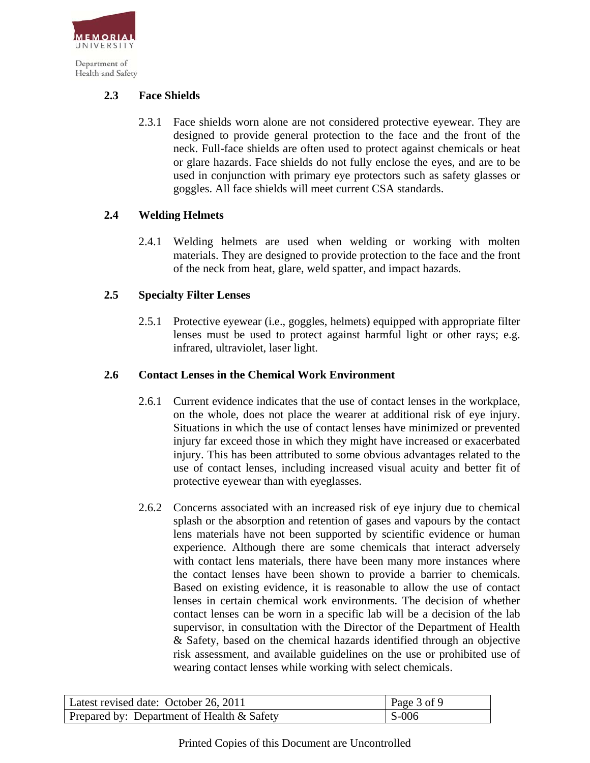

Health and Safety

# **2.3 Face Shields**

2.3.1 Face shields worn alone are not considered protective eyewear. They are designed to provide general protection to the face and the front of the neck. Full-face shields are often used to protect against chemicals or heat or glare hazards. Face shields do not fully enclose the eyes, and are to be used in conjunction with primary eye protectors such as safety glasses or goggles. All face shields will meet current CSA standards.

# **2.4 Welding Helmets**

2.4.1 Welding helmets are used when welding or working with molten materials. They are designed to provide protection to the face and the front of the neck from heat, glare, weld spatter, and impact hazards.

# **2.5 Specialty Filter Lenses**

2.5.1 Protective eyewear (i.e., goggles, helmets) equipped with appropriate filter lenses must be used to protect against harmful light or other rays; e.g. infrared, ultraviolet, laser light.

### **2.6 Contact Lenses in the Chemical Work Environment**

- 2.6.1 Current evidence indicates that the use of contact lenses in the workplace, on the whole, does not place the wearer at additional risk of eye injury. Situations in which the use of contact lenses have minimized or prevented injury far exceed those in which they might have increased or exacerbated injury. This has been attributed to some obvious advantages related to the use of contact lenses, including increased visual acuity and better fit of protective eyewear than with eyeglasses.
- 2.6.2 Concerns associated with an increased risk of eye injury due to chemical splash or the absorption and retention of gases and vapours by the contact lens materials have not been supported by scientific evidence or human experience. Although there are some chemicals that interact adversely with contact lens materials, there have been many more instances where the contact lenses have been shown to provide a barrier to chemicals. Based on existing evidence, it is reasonable to allow the use of contact lenses in certain chemical work environments. The decision of whether contact lenses can be worn in a specific lab will be a decision of the lab supervisor, in consultation with the Director of the Department of Health & Safety, based on the chemical hazards identified through an objective risk assessment, and available guidelines on the use or prohibited use of wearing contact lenses while working with select chemicals.

| Latest revised date: October 26, 2011         | Page 3 of 9 |
|-----------------------------------------------|-------------|
| Prepared by: Department of Health $\&$ Safety | $S-006$     |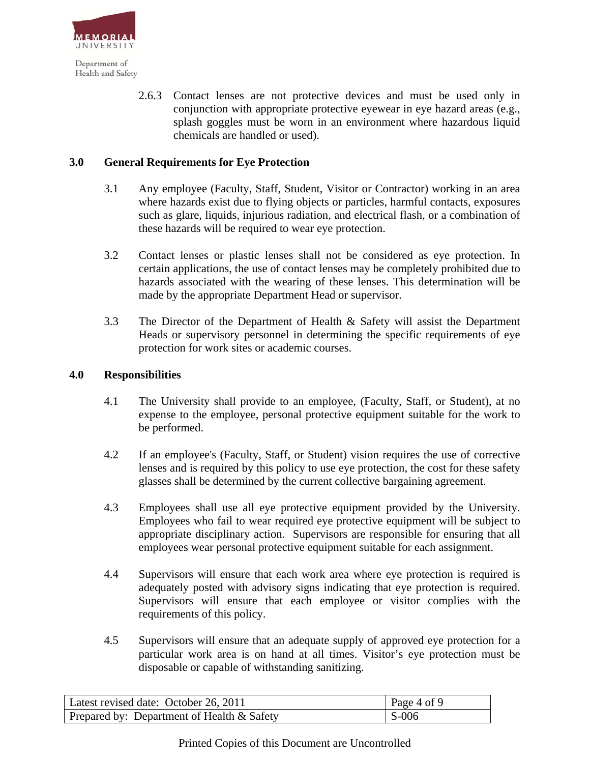

> 2.6.3 Contact lenses are not protective devices and must be used only in conjunction with appropriate protective eyewear in eye hazard areas (e.g., splash goggles must be worn in an environment where hazardous liquid chemicals are handled or used).

## **3.0 General Requirements for Eye Protection**

- 3.1 Any employee (Faculty, Staff, Student, Visitor or Contractor) working in an area where hazards exist due to flying objects or particles, harmful contacts, exposures such as glare, liquids, injurious radiation, and electrical flash, or a combination of these hazards will be required to wear eye protection.
- 3.2 Contact lenses or plastic lenses shall not be considered as eye protection. In certain applications, the use of contact lenses may be completely prohibited due to hazards associated with the wearing of these lenses. This determination will be made by the appropriate Department Head or supervisor.
- 3.3 The Director of the Department of Health & Safety will assist the Department Heads or supervisory personnel in determining the specific requirements of eye protection for work sites or academic courses.

#### **4.0 Responsibilities**

- 4.1 The University shall provide to an employee, (Faculty, Staff, or Student), at no expense to the employee, personal protective equipment suitable for the work to be performed.
- 4.2 If an employee's (Faculty, Staff, or Student) vision requires the use of corrective lenses and is required by this policy to use eye protection, the cost for these safety glasses shall be determined by the current collective bargaining agreement.
- 4.3 Employees shall use all eye protective equipment provided by the University. Employees who fail to wear required eye protective equipment will be subject to appropriate disciplinary action. Supervisors are responsible for ensuring that all employees wear personal protective equipment suitable for each assignment.
- 4.4 Supervisors will ensure that each work area where eye protection is required is adequately posted with advisory signs indicating that eye protection is required. Supervisors will ensure that each employee or visitor complies with the requirements of this policy.
- 4.5 Supervisors will ensure that an adequate supply of approved eye protection for a particular work area is on hand at all times. Visitor's eye protection must be disposable or capable of withstanding sanitizing.

| Latest revised date: October 26, 2011      | $\vert$ Page 4 of 9 |
|--------------------------------------------|---------------------|
| Prepared by: Department of Health & Safety | $S-006$             |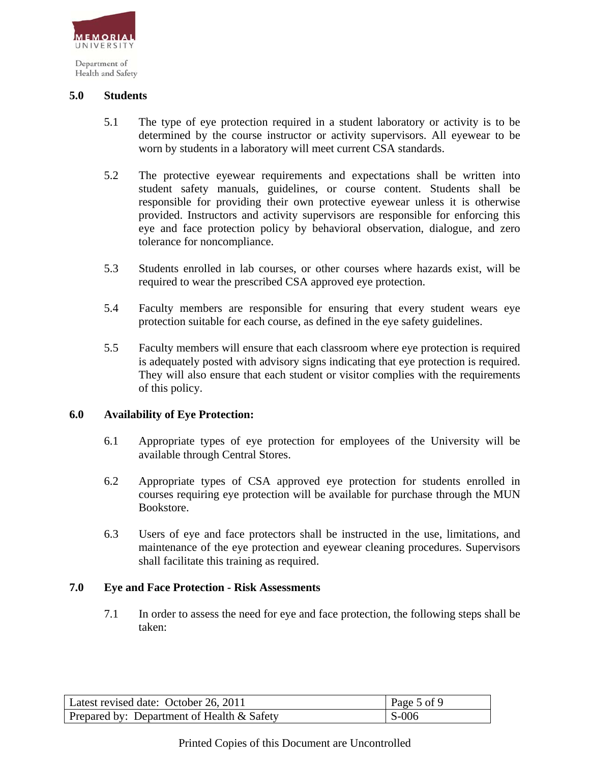

**5.0 Students** 

- 5.1 The type of eye protection required in a student laboratory or activity is to be determined by the course instructor or activity supervisors. All eyewear to be worn by students in a laboratory will meet current CSA standards.
- 5.2 The protective eyewear requirements and expectations shall be written into student safety manuals, guidelines, or course content. Students shall be responsible for providing their own protective eyewear unless it is otherwise provided. Instructors and activity supervisors are responsible for enforcing this eye and face protection policy by behavioral observation, dialogue, and zero tolerance for noncompliance.
- 5.3 Students enrolled in lab courses, or other courses where hazards exist, will be required to wear the prescribed CSA approved eye protection.
- 5.4 Faculty members are responsible for ensuring that every student wears eye protection suitable for each course, as defined in the eye safety guidelines.
- 5.5 Faculty members will ensure that each classroom where eye protection is required is adequately posted with advisory signs indicating that eye protection is required. They will also ensure that each student or visitor complies with the requirements of this policy.

### **6.0 Availability of Eye Protection:**

- 6.1 Appropriate types of eye protection for employees of the University will be available through Central Stores.
- 6.2 Appropriate types of CSA approved eye protection for students enrolled in courses requiring eye protection will be available for purchase through the MUN Bookstore.
- 6.3 Users of eye and face protectors shall be instructed in the use, limitations, and maintenance of the eye protection and eyewear cleaning procedures. Supervisors shall facilitate this training as required.

### **7.0 Eye and Face Protection - Risk Assessments**

7.1 In order to assess the need for eye and face protection, the following steps shall be taken:

| Latest revised date: October 26, 2011      | Page 5 of 9             |
|--------------------------------------------|-------------------------|
| Prepared by: Department of Health & Safety | $\mathsf{S}\text{-}006$ |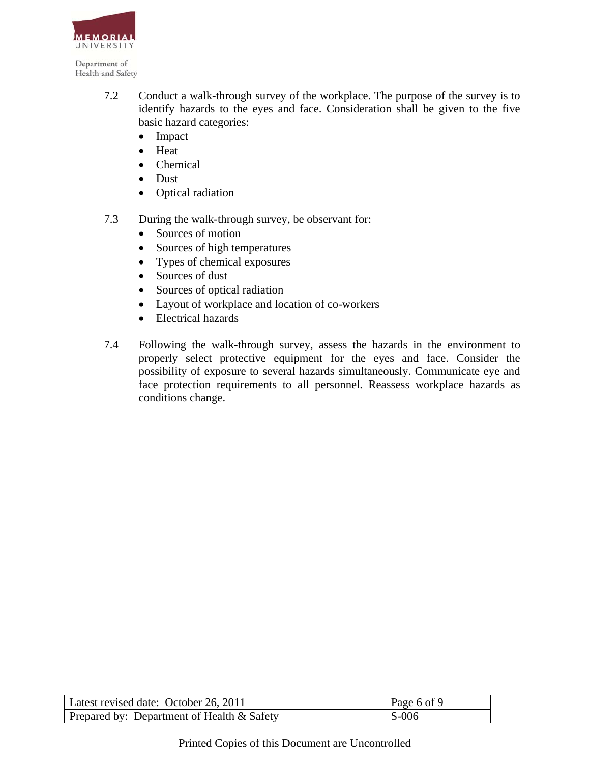

- 7.2 Conduct a walk-through survey of the workplace. The purpose of the survey is to identify hazards to the eyes and face. Consideration shall be given to the five basic hazard categories:
	- Impact
	- Heat
	- Chemical
	- Dust
	- Optical radiation
- 7.3 During the walk-through survey, be observant for:
	- Sources of motion
	- Sources of high temperatures
	- Types of chemical exposures
	- Sources of dust
	- Sources of optical radiation
	- Layout of workplace and location of co-workers
	- Electrical hazards
- 7.4 Following the walk-through survey, assess the hazards in the environment to properly select protective equipment for the eyes and face. Consider the possibility of exposure to several hazards simultaneously. Communicate eye and face protection requirements to all personnel. Reassess workplace hazards as conditions change.

| Latest revised date: October 26, 2011      | Page 6 of 9 |
|--------------------------------------------|-------------|
| Prepared by: Department of Health & Safety | $S-006$     |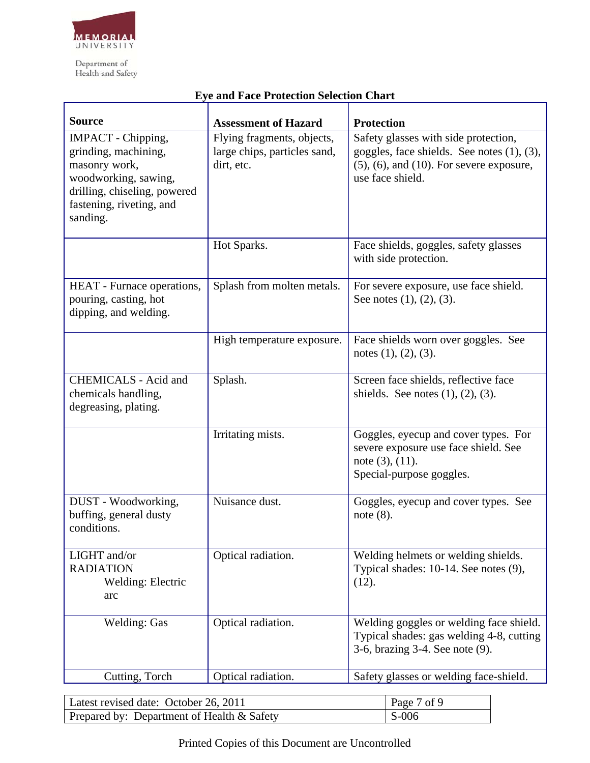

#### **Source** Assessment of Hazard Protection IMPACT - Chipping, grinding, machining, masonry work, woodworking, sawing, drilling, chiseling, powered fastening, riveting, and sanding. Flying fragments, objects, large chips, particles sand, dirt, etc. Safety glasses with side protection, goggles, face shields. See notes (1), (3), (5), (6), and (10). For severe exposure, use face shield. Hot Sparks. Face shields, goggles, safety glasses with side protection. HEAT - Furnace operations, pouring, casting, hot dipping, and welding. Splash from molten metals. For severe exposure, use face shield. See notes (1), (2), (3). High temperature exposure. Face shields worn over goggles. See notes (1), (2), (3). CHEMICALS - Acid and chemicals handling, degreasing, plating. Splash. Splash. Screen face shields, reflective face shields. See notes (1), (2), (3). Irritating mists. Goggles, eyecup and cover types. For severe exposure use face shield. See note (3), (11). Special-purpose goggles. DUST - Woodworking, buffing, general dusty conditions. Nuisance dust. Goggles, eyecup and cover types. See note (8). LIGHT and/or RADIATION Welding: Electric arc Optical radiation. Welding helmets or welding shields. Typical shades: 10-14. See notes (9), (12). Welding: Gas | Optical radiation. Welding goggles or welding face shield. Typical shades: gas welding 4-8, cutting 3-6, brazing 3-4. See note (9). Cutting, Torch Optical radiation. Safety glasses or welding face-shield.

### **Eye and Face Protection Selection Chart**

| Latest revised date: October 26, 2011         | Page 7 of 9 |
|-----------------------------------------------|-------------|
| Prepared by: Department of Health $\&$ Safety | $S-006$     |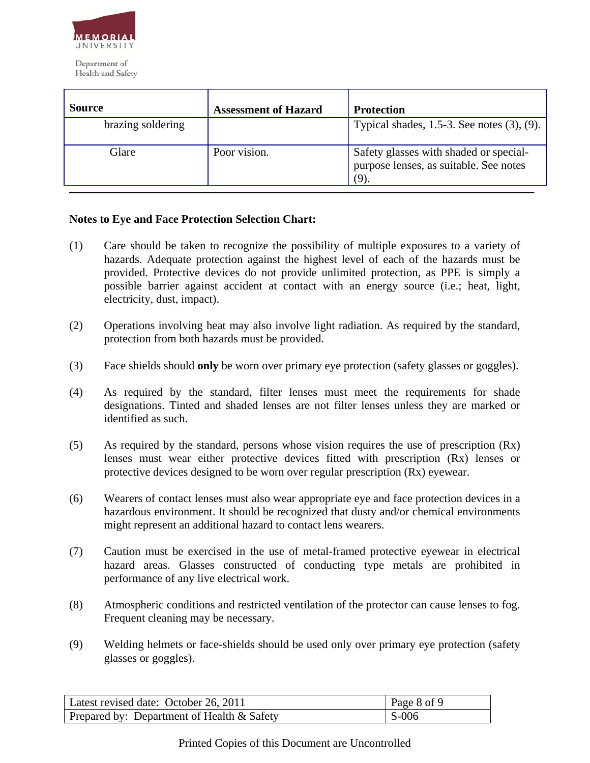

| <b>Source</b>     | <b>Assessment of Hazard</b> | <b>Protection</b>                                                                       |
|-------------------|-----------------------------|-----------------------------------------------------------------------------------------|
| brazing soldering |                             | Typical shades, $1.5-3$ . See notes $(3)$ , $(9)$ .                                     |
| Glare             | Poor vision.                | Safety glasses with shaded or special-<br>purpose lenses, as suitable. See notes<br>(9) |

# **Notes to Eye and Face Protection Selection Chart:**

- (1) Care should be taken to recognize the possibility of multiple exposures to a variety of hazards. Adequate protection against the highest level of each of the hazards must be provided. Protective devices do not provide unlimited protection, as PPE is simply a possible barrier against accident at contact with an energy source (i.e.; heat, light, electricity, dust, impact).
- (2) Operations involving heat may also involve light radiation. As required by the standard, protection from both hazards must be provided.
- (3) Face shields should **only** be worn over primary eye protection (safety glasses or goggles).
- (4) As required by the standard, filter lenses must meet the requirements for shade designations. Tinted and shaded lenses are not filter lenses unless they are marked or identified as such.
- (5) As required by the standard, persons whose vision requires the use of prescription (Rx) lenses must wear either protective devices fitted with prescription (Rx) lenses or protective devices designed to be worn over regular prescription (Rx) eyewear.
- (6) Wearers of contact lenses must also wear appropriate eye and face protection devices in a hazardous environment. It should be recognized that dusty and/or chemical environments might represent an additional hazard to contact lens wearers.
- (7) Caution must be exercised in the use of metal-framed protective eyewear in electrical hazard areas. Glasses constructed of conducting type metals are prohibited in performance of any live electrical work.
- (8) Atmospheric conditions and restricted ventilation of the protector can cause lenses to fog. Frequent cleaning may be necessary.
- (9) Welding helmets or face-shields should be used only over primary eye protection (safety glasses or goggles).

| Latest revised date: October 26, 2011      | Page 8 of 9 |
|--------------------------------------------|-------------|
| Prepared by: Department of Health & Safety | $S-006$     |